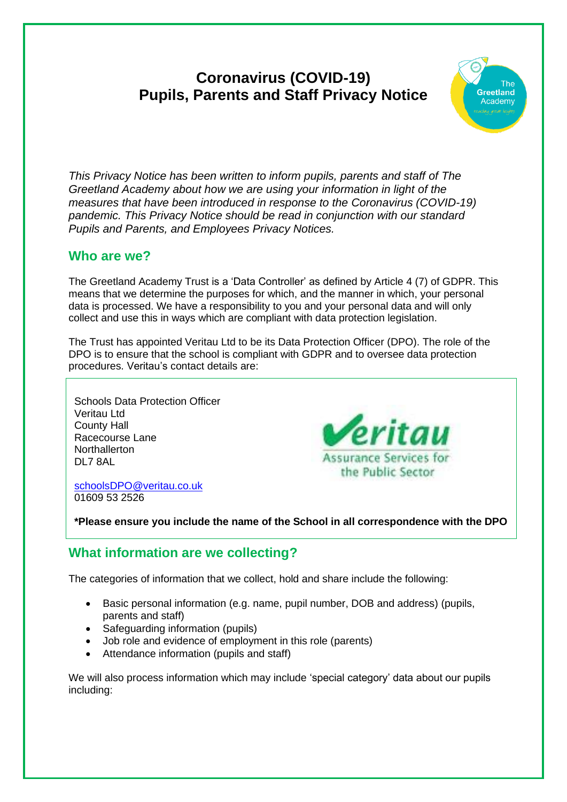# **Coronavirus (COVID-19) Pupils, Parents and Staff Privacy Notice**



*This Privacy Notice has been written to inform pupils, parents and staff of The Greetland Academy about how we are using your information in light of the measures that have been introduced in response to the Coronavirus (COVID-19) pandemic. This Privacy Notice should be read in conjunction with our standard Pupils and Parents, and Employees Privacy Notices.*

## **Who are we?**

The Greetland Academy Trust is a 'Data Controller' as defined by Article 4 (7) of GDPR. This means that we determine the purposes for which, and the manner in which, your personal data is processed. We have a responsibility to you and your personal data and will only collect and use this in ways which are compliant with data protection legislation.

The Trust has appointed Veritau Ltd to be its Data Protection Officer (DPO). The role of the DPO is to ensure that the school is compliant with GDPR and to oversee data protection procedures. Veritau's contact details are:

Schools Data Protection Officer Veritau Ltd County Hall Racecourse Lane Northallerton DL7 8AL



[schoolsDPO@veritau.co.uk](mailto:schoolsDPO@veritau.co.uk) 01609 53 2526

**\*Please ensure you include the name of the School in all correspondence with the DPO** 

# **What information are we collecting?**

The categories of information that we collect, hold and share include the following:

- Basic personal information (e.g. name, pupil number, DOB and address) (pupils, parents and staff)
- Safeguarding information (pupils)
- Job role and evidence of employment in this role (parents)
- Attendance information (pupils and staff)

We will also process information which may include 'special category' data about our pupils including: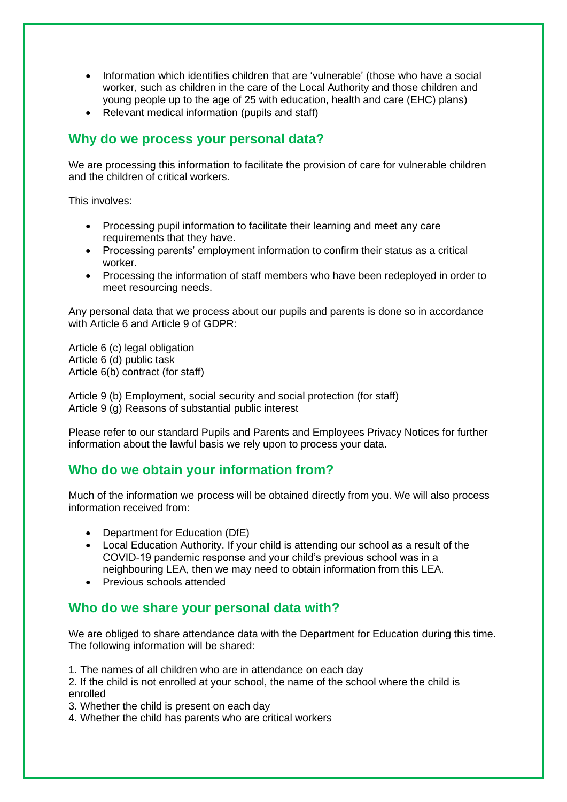- Information which identifies children that are 'vulnerable' (those who have a social worker, such as children in the care of the Local Authority and those children and young people up to the age of 25 with education, health and care (EHC) plans)
- Relevant medical information (pupils and staff)

#### **Why do we process your personal data?**

We are processing this information to facilitate the provision of care for vulnerable children and the children of critical workers.

This involves:

- Processing pupil information to facilitate their learning and meet any care requirements that they have.
- Processing parents' employment information to confirm their status as a critical worker.
- Processing the information of staff members who have been redeployed in order to meet resourcing needs.

Any personal data that we process about our pupils and parents is done so in accordance with Article 6 and Article 9 of GDPR:

Article 6 (c) legal obligation Article 6 (d) public task Article 6(b) contract (for staff)

Article 9 (b) Employment, social security and social protection (for staff) Article 9 (g) Reasons of substantial public interest

Please refer to our standard Pupils and Parents and Employees Privacy Notices for further information about the lawful basis we rely upon to process your data.

## **Who do we obtain your information from?**

Much of the information we process will be obtained directly from you. We will also process information received from:

- Department for Education (DfE)
- Local Education Authority. If your child is attending our school as a result of the COVID-19 pandemic response and your child's previous school was in a neighbouring LEA, then we may need to obtain information from this LEA.
- Previous schools attended

## **Who do we share your personal data with?**

We are obliged to share attendance data with the Department for Education during this time. The following information will be shared:

1. The names of all children who are in attendance on each day

2. If the child is not enrolled at your school, the name of the school where the child is enrolled

3. Whether the child is present on each day

4. Whether the child has parents who are critical workers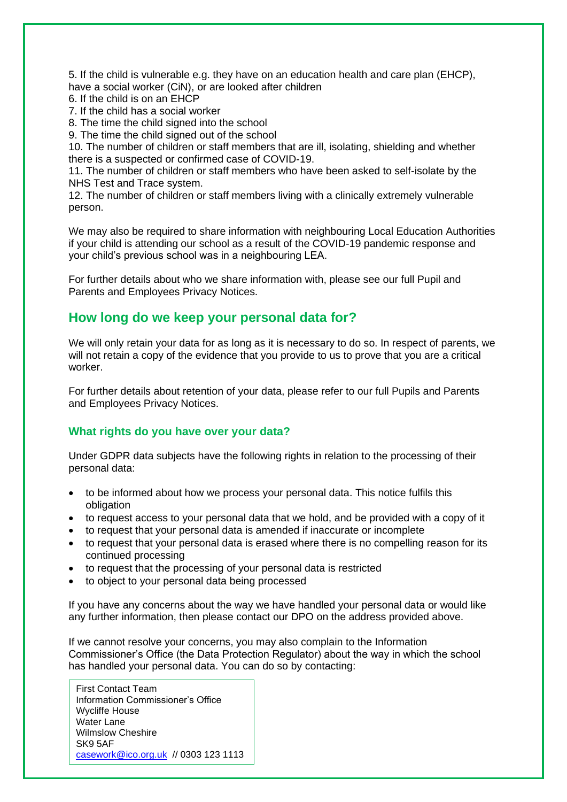5. If the child is vulnerable e.g. they have on an education health and care plan (EHCP), have a social worker (CiN), or are looked after children

6. If the child is on an EHCP

7. If the child has a social worker

8. The time the child signed into the school

9. The time the child signed out of the school

10. The number of children or staff members that are ill, isolating, shielding and whether there is a suspected or confirmed case of COVID-19.

11. The number of children or staff members who have been asked to self-isolate by the NHS Test and Trace system.

12. The number of children or staff members living with a clinically extremely vulnerable person.

We may also be required to share information with neighbouring Local Education Authorities if your child is attending our school as a result of the COVID-19 pandemic response and your child's previous school was in a neighbouring LEA.

For further details about who we share information with, please see our full Pupil and Parents and Employees Privacy Notices.

#### **How long do we keep your personal data for?**

We will only retain your data for as long as it is necessary to do so. In respect of parents, we will not retain a copy of the evidence that you provide to us to prove that you are a critical worker.

For further details about retention of your data, please refer to our full Pupils and Parents and Employees Privacy Notices.

#### **What rights do you have over your data?**

Under GDPR data subjects have the following rights in relation to the processing of their personal data:

- to be informed about how we process your personal data. This notice fulfils this obligation
- to request access to your personal data that we hold, and be provided with a copy of it
- to request that your personal data is amended if inaccurate or incomplete
- to request that your personal data is erased where there is no compelling reason for its continued processing
- to request that the processing of your personal data is restricted
- to object to your personal data being processed

If you have any concerns about the way we have handled your personal data or would like any further information, then please contact our DPO on the address provided above.

If we cannot resolve your concerns, you may also complain to the Information Commissioner's Office (the Data Protection Regulator) about the way in which the school has handled your personal data. You can do so by contacting:

First Contact Team Information Commissioner's Office Wycliffe House Water Lane Wilmslow Cheshire SK9 5AF [casework@ico.org.uk](mailto:casework@ico.org.uk) // 0303 123 1113